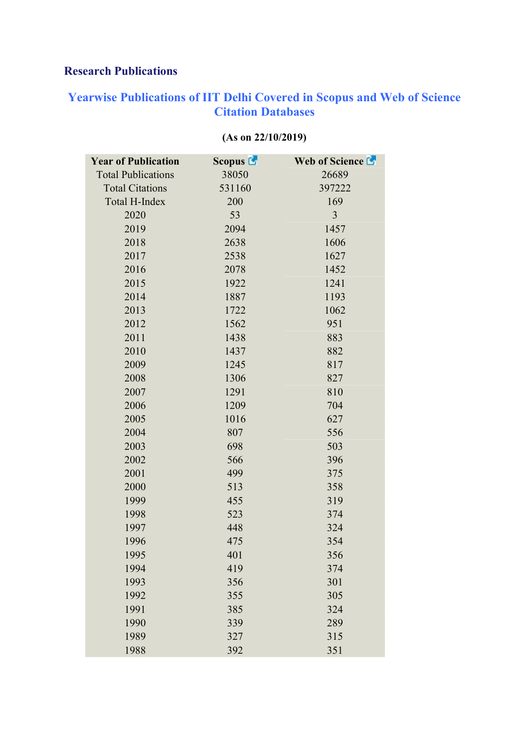## Research Publications

## Yearwise Publications of IIT Delhi Covered in Scopus and Web of Science Citation Databases

| <b>Year of Publication</b> | Scopus <b>C</b> | <b>Web of Science La</b> |
|----------------------------|-----------------|--------------------------|
| <b>Total Publications</b>  | 38050           | 26689                    |
| <b>Total Citations</b>     | 531160          | 397222                   |
| Total H-Index              | 200             | 169                      |
| 2020                       | 53              | 3                        |
| 2019                       | 2094            | 1457                     |
| 2018                       | 2638            | 1606                     |
| 2017                       | 2538            | 1627                     |
| 2016                       | 2078            | 1452                     |
| 2015                       | 1922            | 1241                     |
| 2014                       | 1887            | 1193                     |
| 2013                       | 1722            | 1062                     |
| 2012                       | 1562            | 951                      |
| 2011                       | 1438            | 883                      |
| 2010                       | 1437            | 882                      |
| 2009                       | 1245            | 817                      |
| 2008                       | 1306            | 827                      |
| 2007                       | 1291            | 810                      |
| 2006                       | 1209            | 704                      |
| 2005                       | 1016            | 627                      |
| 2004                       | 807             | 556                      |
| 2003                       | 698             | 503                      |
| 2002                       | 566             | 396                      |
| 2001                       | 499             | 375                      |
| 2000                       | 513             | 358                      |
| 1999                       | 455             | 319                      |
| 1998                       | 523             | 374                      |
| 1997                       | 448             | 324                      |
| 1996                       | 475             | 354                      |
| 1995                       | 401             | 356                      |
| 1994                       | 419             | 374                      |
| 1993                       | 356             | 301                      |
| 1992                       | 355             | 305                      |
| 1991                       | 385             | 324                      |
| 1990                       | 339             | 289                      |
| 1989                       | 327             | 315                      |
| 1988                       | 392             | 351                      |

## (As on 22/10/2019)